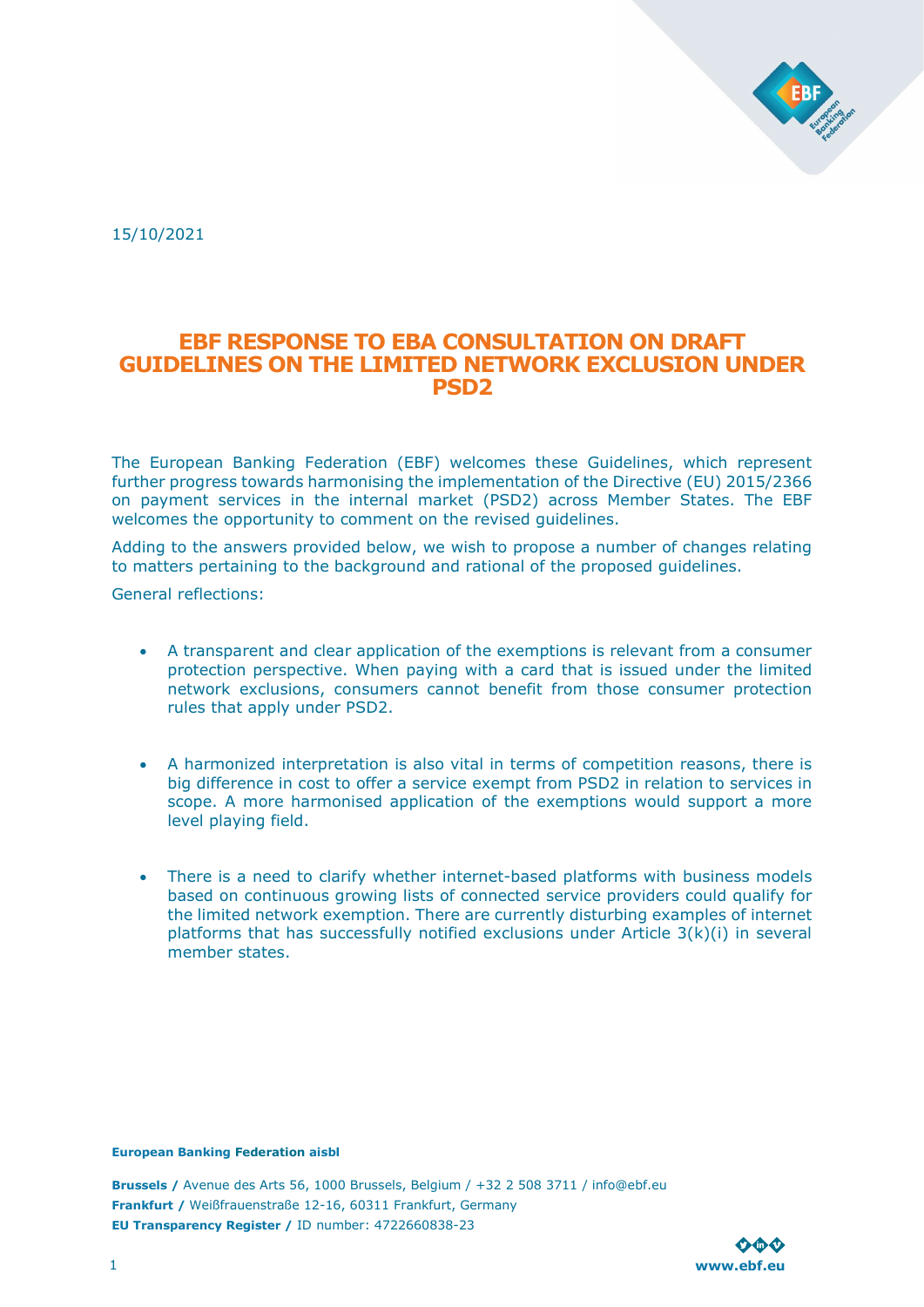

15/10/2021

# EBF RESPONSE TO EBA CONSULTATION ON DRAFT GUIDELINES ON THE LIMITED NETWORK EXCLUSION UNDER PSD2

The European Banking Federation (EBF) welcomes these Guidelines, which represent further progress towards harmonising the implementation of the Directive (EU) 2015/2366 on payment services in the internal market (PSD2) across Member States. The EBF welcomes the opportunity to comment on the revised guidelines.

Adding to the answers provided below, we wish to propose a number of changes relating to matters pertaining to the background and rational of the proposed guidelines.

General reflections:

- A transparent and clear application of the exemptions is relevant from a consumer protection perspective. When paying with a card that is issued under the limited network exclusions, consumers cannot benefit from those consumer protection rules that apply under PSD2.
- A harmonized interpretation is also vital in terms of competition reasons, there is big difference in cost to offer a service exempt from PSD2 in relation to services in scope. A more harmonised application of the exemptions would support a more level playing field.
- There is a need to clarify whether internet-based platforms with business models based on continuous growing lists of connected service providers could qualify for the limited network exemption. There are currently disturbing examples of internet platforms that has successfully notified exclusions under Article 3(k)(i) in several member states.

### European Banking Federation aisbl

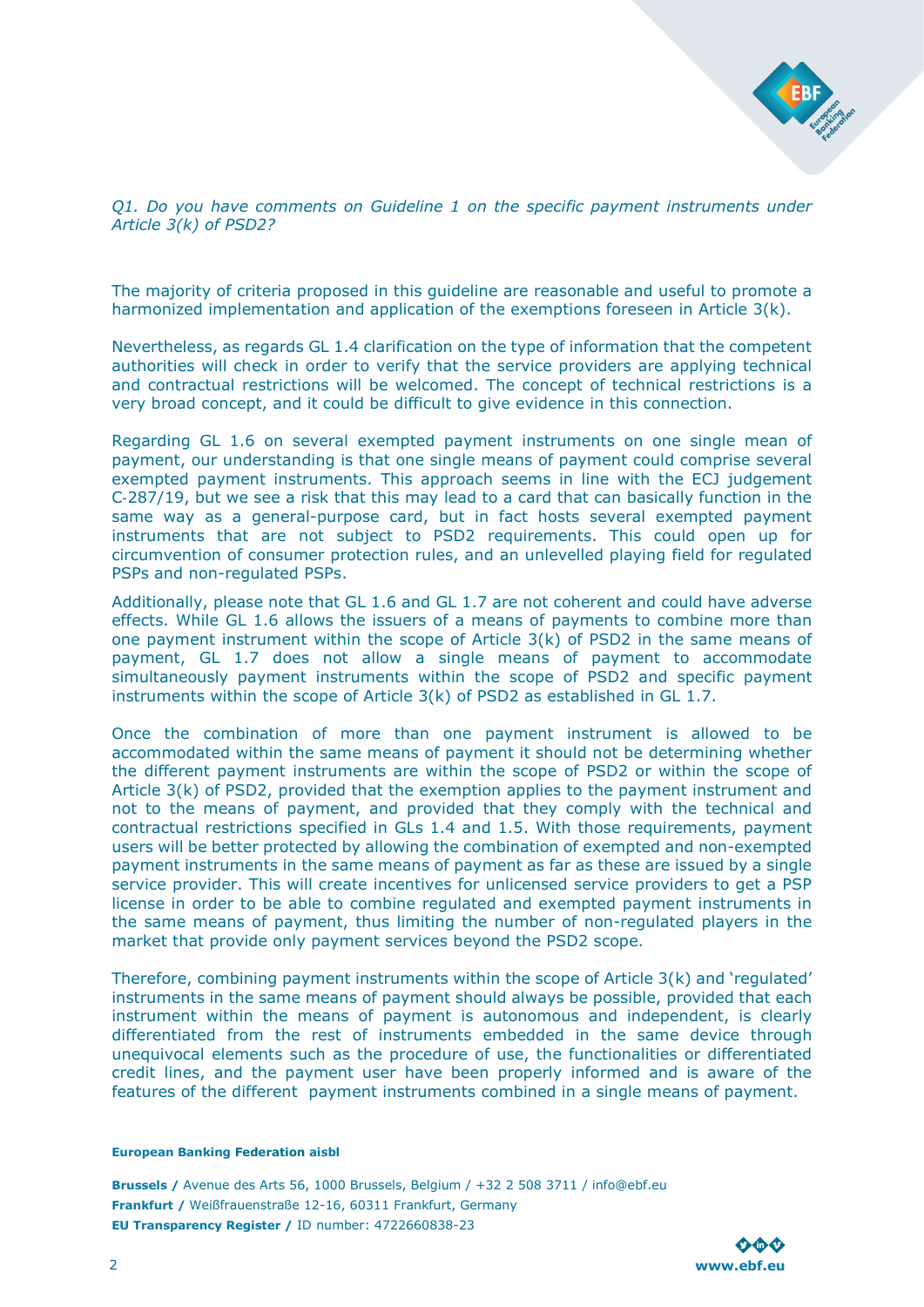

Q1. Do you have comments on Guideline 1 on the specific payment instruments under Article 3(k) of PSD2?

The majority of criteria proposed in this guideline are reasonable and useful to promote a harmonized implementation and application of the exemptions foreseen in Article 3(k).

Nevertheless, as regards GL 1.4 clarification on the type of information that the competent authorities will check in order to verify that the service providers are applying technical and contractual restrictions will be welcomed. The concept of technical restrictions is a very broad concept, and it could be difficult to give evidence in this connection.

Regarding GL 1.6 on several exempted payment instruments on one single mean of payment, our understanding is that one single means of payment could comprise several exempted payment instruments. This approach seems in line with the ECJ judgement C‑287/19, but we see a risk that this may lead to a card that can basically function in the same way as a general-purpose card, but in fact hosts several exempted payment instruments that are not subject to PSD2 requirements. This could open up for circumvention of consumer protection rules, and an unlevelled playing field for regulated PSPs and non-regulated PSPs.

Additionally, please note that GL 1.6 and GL 1.7 are not coherent and could have adverse effects. While GL 1.6 allows the issuers of a means of payments to combine more than one payment instrument within the scope of Article 3(k) of PSD2 in the same means of payment, GL 1.7 does not allow a single means of payment to accommodate simultaneously payment instruments within the scope of PSD2 and specific payment instruments within the scope of Article 3(k) of PSD2 as established in GL 1.7.

Once the combination of more than one payment instrument is allowed to be accommodated within the same means of payment it should not be determining whether the different payment instruments are within the scope of PSD2 or within the scope of Article 3(k) of PSD2, provided that the exemption applies to the payment instrument and not to the means of payment, and provided that they comply with the technical and contractual restrictions specified in GLs 1.4 and 1.5. With those requirements, payment users will be better protected by allowing the combination of exempted and non-exempted payment instruments in the same means of payment as far as these are issued by a single service provider. This will create incentives for unlicensed service providers to get a PSP license in order to be able to combine regulated and exempted payment instruments in the same means of payment, thus limiting the number of non-regulated players in the market that provide only payment services beyond the PSD2 scope.

Therefore, combining payment instruments within the scope of Article 3(k) and 'regulated' instruments in the same means of payment should always be possible, provided that each instrument within the means of payment is autonomous and independent, is clearly differentiated from the rest of instruments embedded in the same device through unequivocal elements such as the procedure of use, the functionalities or differentiated credit lines, and the payment user have been properly informed and is aware of the features of the different payment instruments combined in a single means of payment.

### European Banking Federation aisbl

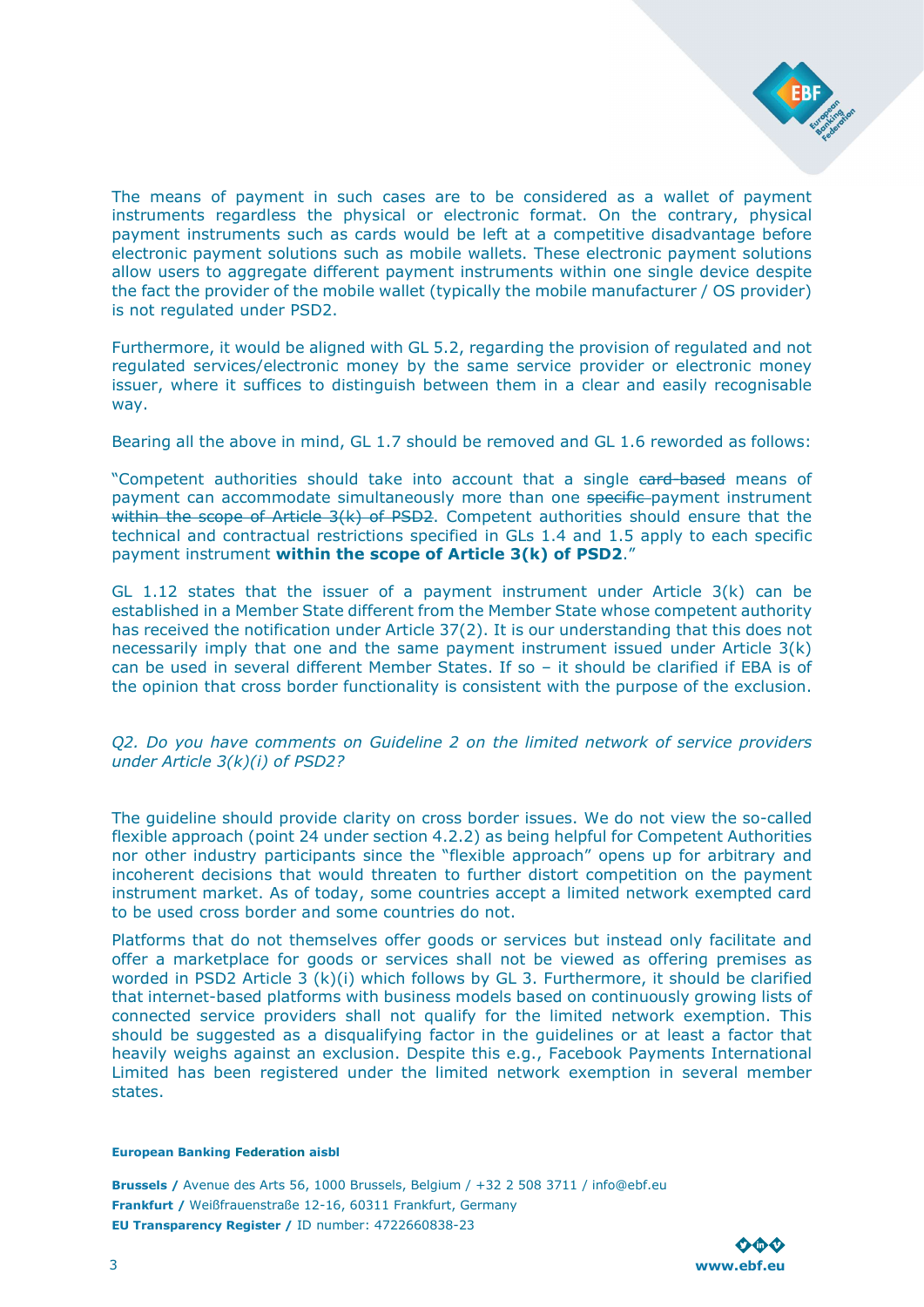

The means of payment in such cases are to be considered as a wallet of payment instruments regardless the physical or electronic format. On the contrary, physical payment instruments such as cards would be left at a competitive disadvantage before electronic payment solutions such as mobile wallets. These electronic payment solutions allow users to aggregate different payment instruments within one single device despite the fact the provider of the mobile wallet (typically the mobile manufacturer / OS provider) is not regulated under PSD2.

Furthermore, it would be aligned with GL 5.2, regarding the provision of regulated and not regulated services/electronic money by the same service provider or electronic money issuer, where it suffices to distinguish between them in a clear and easily recognisable way.

Bearing all the above in mind, GL 1.7 should be removed and GL 1.6 reworded as follows:

"Competent authorities should take into account that a single card-based means of payment can accommodate simultaneously more than one specific-payment instrument within the scope of Article  $3(k)$  of PSD2. Competent authorities should ensure that the technical and contractual restrictions specified in GLs 1.4 and 1.5 apply to each specific payment instrument within the scope of Article 3(k) of PSD2."

GL 1.12 states that the issuer of a payment instrument under Article 3(k) can be established in a Member State different from the Member State whose competent authority has received the notification under Article 37(2). It is our understanding that this does not necessarily imply that one and the same payment instrument issued under Article 3(k) can be used in several different Member States. If so – it should be clarified if EBA is of the opinion that cross border functionality is consistent with the purpose of the exclusion.

Q2. Do you have comments on Guideline 2 on the limited network of service providers under Article 3(k)(i) of PSD2?

The guideline should provide clarity on cross border issues. We do not view the so-called flexible approach (point 24 under section 4.2.2) as being helpful for Competent Authorities nor other industry participants since the "flexible approach" opens up for arbitrary and incoherent decisions that would threaten to further distort competition on the payment instrument market. As of today, some countries accept a limited network exempted card to be used cross border and some countries do not.

Platforms that do not themselves offer goods or services but instead only facilitate and offer a marketplace for goods or services shall not be viewed as offering premises as worded in PSD2 Article 3 (k)(i) which follows by GL 3. Furthermore, it should be clarified that internet-based platforms with business models based on continuously growing lists of connected service providers shall not qualify for the limited network exemption. This should be suggested as a disqualifying factor in the guidelines or at least a factor that heavily weighs against an exclusion. Despite this e.g., Facebook Payments International Limited has been registered under the limited network exemption in several member states.

# European Banking Federation aisbl

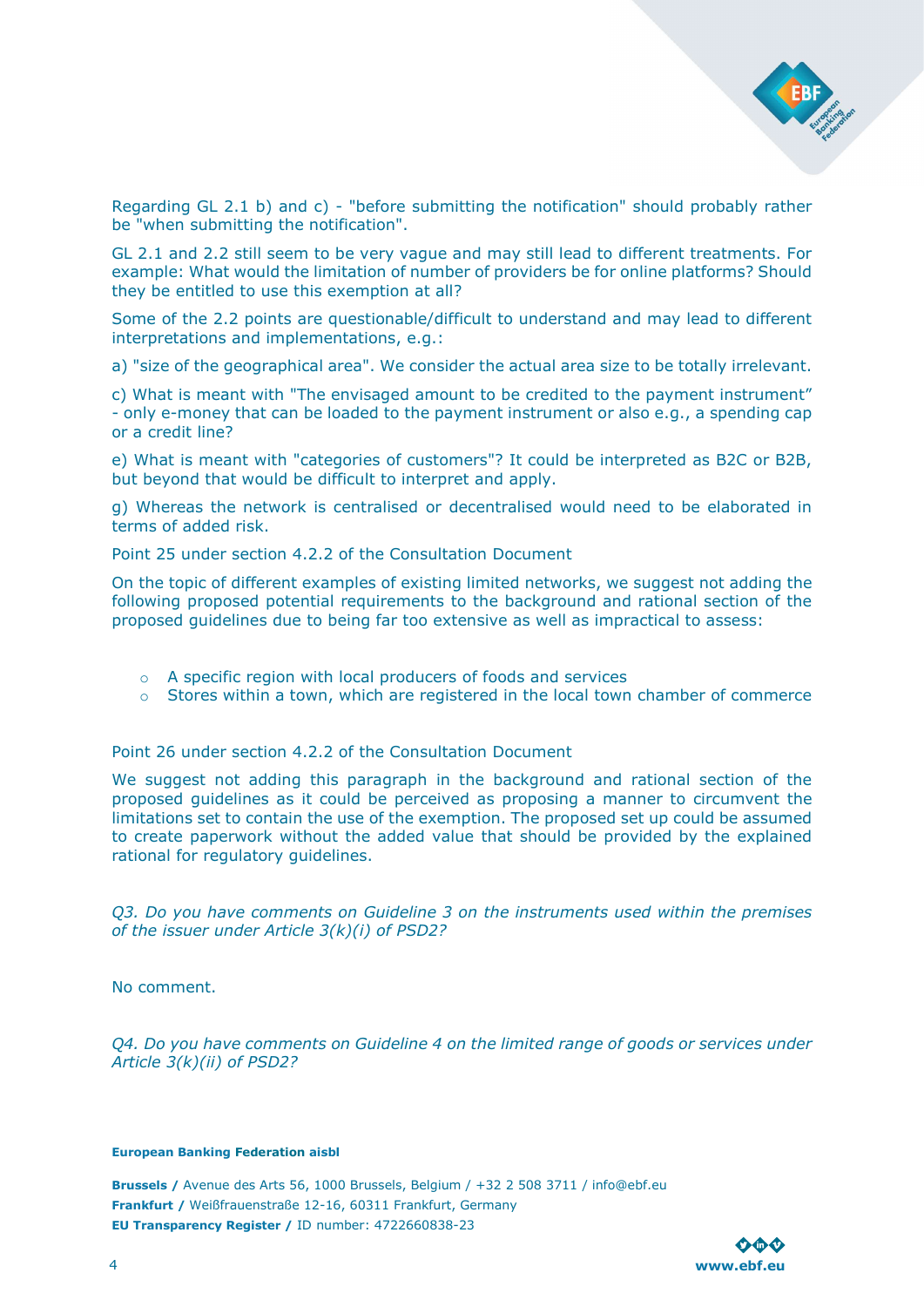

Regarding GL 2.1 b) and c) - "before submitting the notification" should probably rather be "when submitting the notification".

GL 2.1 and 2.2 still seem to be very vague and may still lead to different treatments. For example: What would the limitation of number of providers be for online platforms? Should they be entitled to use this exemption at all?

Some of the 2.2 points are questionable/difficult to understand and may lead to different interpretations and implementations, e.g.:

a) "size of the geographical area". We consider the actual area size to be totally irrelevant.

c) What is meant with "The envisaged amount to be credited to the payment instrument" - only e-money that can be loaded to the payment instrument or also e.g., a spending cap or a credit line?

e) What is meant with "categories of customers"? It could be interpreted as B2C or B2B, but beyond that would be difficult to interpret and apply.

g) Whereas the network is centralised or decentralised would need to be elaborated in terms of added risk.

Point 25 under section 4.2.2 of the Consultation Document

On the topic of different examples of existing limited networks, we suggest not adding the following proposed potential requirements to the background and rational section of the proposed guidelines due to being far too extensive as well as impractical to assess:

- o A specific region with local producers of foods and services
- $\circ$  Stores within a town, which are registered in the local town chamber of commerce

Point 26 under section 4.2.2 of the Consultation Document

We suggest not adding this paragraph in the background and rational section of the proposed guidelines as it could be perceived as proposing a manner to circumvent the limitations set to contain the use of the exemption. The proposed set up could be assumed to create paperwork without the added value that should be provided by the explained rational for regulatory guidelines.

Q3. Do you have comments on Guideline 3 on the instruments used within the premises of the issuer under Article 3(k)(i) of PSD2?

No comment.

Q4. Do you have comments on Guideline 4 on the limited range of goods or services under Article 3(k)(ii) of PSD2?

# European Banking Federation aisbl

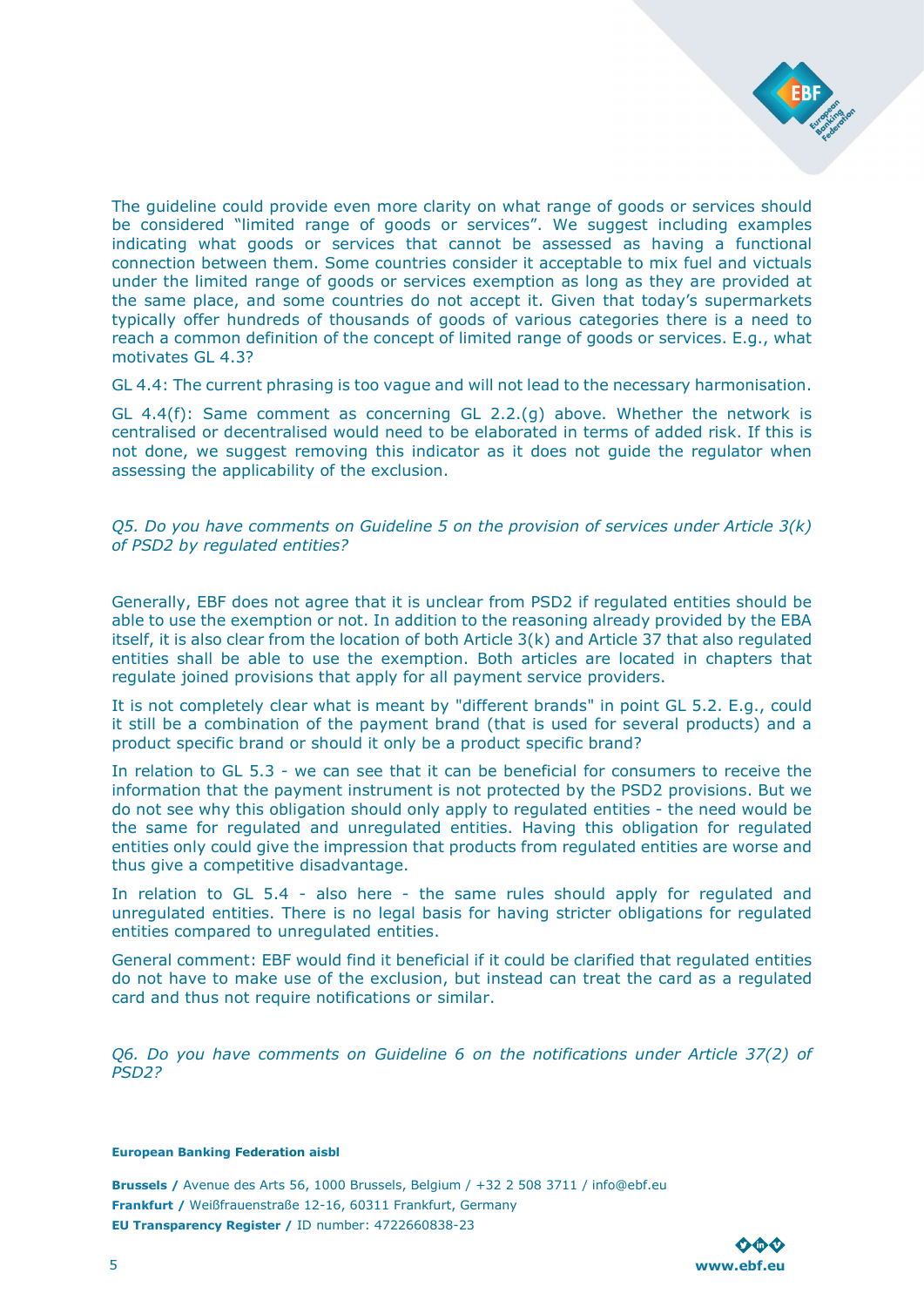

The guideline could provide even more clarity on what range of goods or services should be considered "limited range of goods or services". We suggest including examples indicating what goods or services that cannot be assessed as having a functional connection between them. Some countries consider it acceptable to mix fuel and victuals under the limited range of goods or services exemption as long as they are provided at the same place, and some countries do not accept it. Given that today's supermarkets typically offer hundreds of thousands of goods of various categories there is a need to reach a common definition of the concept of limited range of goods or services. E.g., what motivates GL 4.3?

GL 4.4: The current phrasing is too vague and will not lead to the necessary harmonisation.

GL 4.4(f): Same comment as concerning GL 2.2.(g) above. Whether the network is centralised or decentralised would need to be elaborated in terms of added risk. If this is not done, we suggest removing this indicator as it does not guide the regulator when assessing the applicability of the exclusion.

Q5. Do you have comments on Guideline 5 on the provision of services under Article 3(k) of PSD2 by regulated entities?

Generally, EBF does not agree that it is unclear from PSD2 if regulated entities should be able to use the exemption or not. In addition to the reasoning already provided by the EBA itself, it is also clear from the location of both Article 3(k) and Article 37 that also regulated entities shall be able to use the exemption. Both articles are located in chapters that regulate joined provisions that apply for all payment service providers.

It is not completely clear what is meant by "different brands" in point GL 5.2. E.g., could it still be a combination of the payment brand (that is used for several products) and a product specific brand or should it only be a product specific brand?

In relation to GL 5.3 - we can see that it can be beneficial for consumers to receive the information that the payment instrument is not protected by the PSD2 provisions. But we do not see why this obligation should only apply to regulated entities - the need would be the same for regulated and unregulated entities. Having this obligation for regulated entities only could give the impression that products from regulated entities are worse and thus give a competitive disadvantage.

In relation to GL 5.4 - also here - the same rules should apply for regulated and unregulated entities. There is no legal basis for having stricter obligations for regulated entities compared to unregulated entities.

General comment: EBF would find it beneficial if it could be clarified that regulated entities do not have to make use of the exclusion, but instead can treat the card as a regulated card and thus not require notifications or similar.

Q6. Do you have comments on Guideline 6 on the notifications under Article 37(2) of PSD2?

# European Banking Federation aisbl